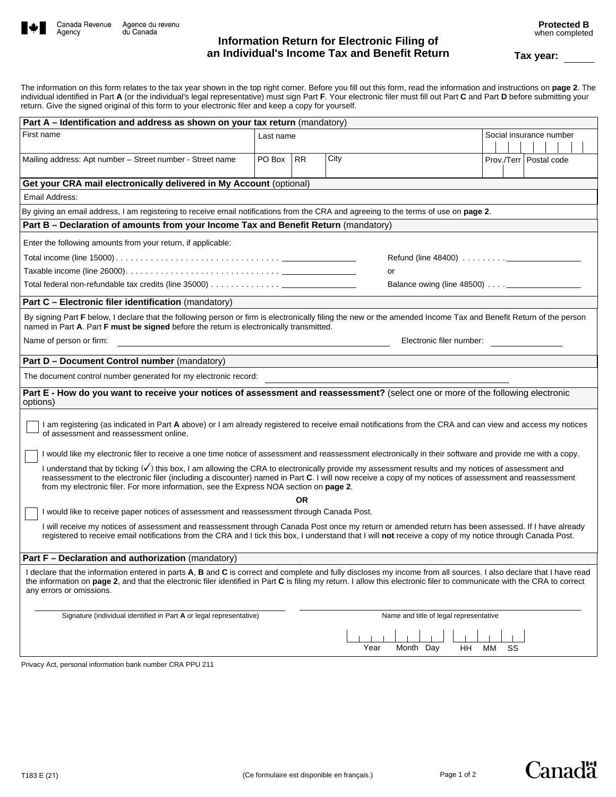

**Protected B**  when completed

The information on this form relates to the tax year shown in the top right corner. Before you fill out this form, read the information and instructions on **page 2**. The individual identified in Part **A** (or the individual's legal representative) must sign Part **F**. Your electronic filer must fill out Part **C** and Part **D** before submitting your return. Give the signed original of this form to your electronic filer and keep a copy for yourself.

| Part A – Identification and address as shown on your tax return (mandatory)                                                                                                                                                                                                                                                                                                                                    |           |     |                                        |                          |
|----------------------------------------------------------------------------------------------------------------------------------------------------------------------------------------------------------------------------------------------------------------------------------------------------------------------------------------------------------------------------------------------------------------|-----------|-----|----------------------------------------|--------------------------|
| First name                                                                                                                                                                                                                                                                                                                                                                                                     | Last name |     |                                        | Social insurance number  |
| Mailing address: Apt number - Street number - Street name                                                                                                                                                                                                                                                                                                                                                      | PO Box    | RR. | City                                   | Prov./Terr   Postal code |
| Get your CRA mail electronically delivered in My Account (optional)                                                                                                                                                                                                                                                                                                                                            |           |     |                                        |                          |
| Email Address:                                                                                                                                                                                                                                                                                                                                                                                                 |           |     |                                        |                          |
| By giving an email address, I am registering to receive email notifications from the CRA and agreeing to the terms of use on page 2.                                                                                                                                                                                                                                                                           |           |     |                                        |                          |
| Part B - Declaration of amounts from your Income Tax and Benefit Return (mandatory)                                                                                                                                                                                                                                                                                                                            |           |     |                                        |                          |
| Enter the following amounts from your return, if applicable:<br>or                                                                                                                                                                                                                                                                                                                                             |           |     |                                        |                          |
|                                                                                                                                                                                                                                                                                                                                                                                                                |           |     |                                        |                          |
| Part C - Electronic filer identification (mandatory)                                                                                                                                                                                                                                                                                                                                                           |           |     |                                        |                          |
| By signing Part F below, I declare that the following person or firm is electronically filing the new or the amended Income Tax and Benefit Return of the person<br>named in Part A. Part F must be signed before the return is electronically transmitted.                                                                                                                                                    |           |     |                                        |                          |
| Name of person or firm:                                                                                                                                                                                                                                                                                                                                                                                        |           |     |                                        | Electronic filer number: |
| Part D - Document Control number (mandatory)                                                                                                                                                                                                                                                                                                                                                                   |           |     |                                        |                          |
| The document control number generated for my electronic record:                                                                                                                                                                                                                                                                                                                                                |           |     |                                        |                          |
| Part E - How do you want to receive your notices of assessment and reassessment? (select one or more of the following electronic<br>options)                                                                                                                                                                                                                                                                   |           |     |                                        |                          |
| I am registering (as indicated in Part A above) or I am already registered to receive email notifications from the CRA and can view and access my notices<br>of assessment and reassessment online.                                                                                                                                                                                                            |           |     |                                        |                          |
| I would like my electronic filer to receive a one time notice of assessment and reassessment electronically in their software and provide me with a copy.                                                                                                                                                                                                                                                      |           |     |                                        |                          |
| I understand that by ticking ( $\sqrt{}$ ) this box, I am allowing the CRA to electronically provide my assessment results and my notices of assessment and<br>reassessment to the electronic filer (including a discounter) named in Part C. I will now receive a copy of my notices of assessment and reassessment<br>from my electronic filer. For more information, see the Express NOA section on page 2. |           |     |                                        |                          |
| <b>OR</b><br>I would like to receive paper notices of assessment and reassessment through Canada Post.                                                                                                                                                                                                                                                                                                         |           |     |                                        |                          |
| I will receive my notices of assessment and reassessment through Canada Post once my return or amended return has been assessed. If I have already<br>registered to receive email notifications from the CRA and I tick this box, I understand that I will not receive a copy of my notice through Canada Post.                                                                                                |           |     |                                        |                          |
| Part F - Declaration and authorization (mandatory)                                                                                                                                                                                                                                                                                                                                                             |           |     |                                        |                          |
| I declare that the information entered in parts A, B and C is correct and complete and fully discloses my income from all sources. I also declare that I have read<br>the information on page 2, and that the electronic filer identified in Part C is filing my return. I allow this electronic filer to communicate with the CRA to correct<br>any errors or omissions.                                      |           |     |                                        |                          |
| Signature (individual identified in Part A or legal representative)                                                                                                                                                                                                                                                                                                                                            |           |     | Name and title of legal representative |                          |
|                                                                                                                                                                                                                                                                                                                                                                                                                |           |     | Year<br>Month Day                      | HH.<br>МM<br>SS          |
|                                                                                                                                                                                                                                                                                                                                                                                                                |           |     |                                        |                          |

Privacy Act, personal information bank number CRA PPU 211